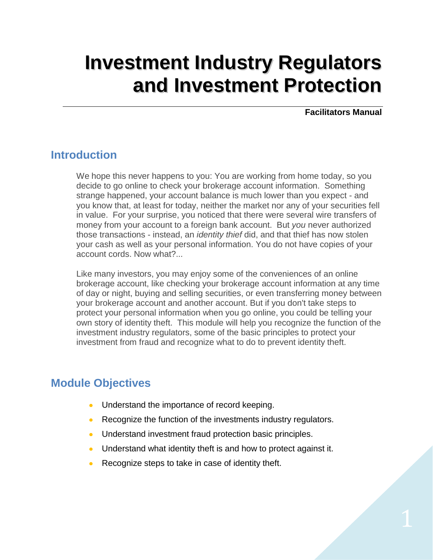# **Investment Industry Regulators and Investment Protection**

**Facilitators Manual** 

### <span id="page-0-0"></span>**Introduction**

We hope this never happens to you: You are working from home today, so you decide to go online to check your brokerage account information. Something strange happened, your account balance is much lower than you expect - and you know that, at least for today, neither the market nor any of your securities fell in value. For your surprise, you noticed that there were several wire transfers of money from your account to a foreign bank account. But *you* never authorized those transactions - instead, an *identity thief* did, and that thief has now stolen your cash as well as your personal information. You do not have copies of your account cords. Now what?...

Like many investors, you may enjoy some of the conveniences of an online brokerage account, like checking your brokerage account information at any time of day or night, buying and selling securities, or even transferring money between your brokerage account and another account. But if you don't take steps to protect your personal information when you go online, you could be telling your own story of identity theft. This module will help you recognize the function of the investment industry regulators, some of the basic principles to protect your investment from fraud and recognize what to do to prevent identity theft.

### <span id="page-0-1"></span>**Module Objectives**

- Understand the importance of record keeping.  $\bullet$
- Recognize the function of the investments industry regulators.  $\bullet$
- $\bullet$ Understand investment fraud protection basic principles.
- $\bullet$ Understand what identity theft is and how to protect against it.
- Recognize steps to take in case of identity theft. $\bullet$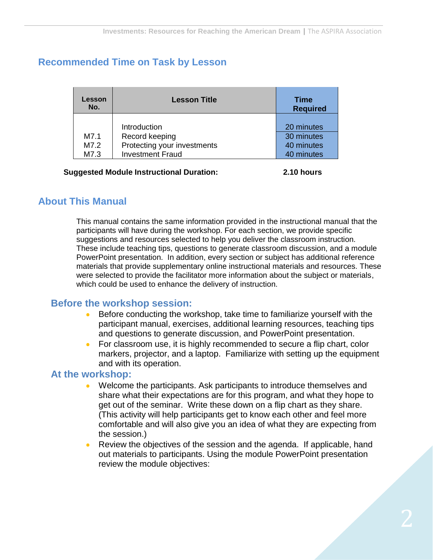### <span id="page-1-0"></span>**Recommended Time on Task by Lesson**

| Lesson<br>No. | <b>Lesson Title</b>         | Time<br><b>Required</b> |
|---------------|-----------------------------|-------------------------|
|               | Introduction                | 20 minutes              |
| M7.1          | Record keeping              | 30 minutes              |
| M7.2          | Protecting your investments | 40 minutes              |
| M7.3          | <b>Investment Fraud</b>     | 40 minutes              |

#### **Suggested Module Instructional Duration: 2.10 hours**

#### <span id="page-1-1"></span>**About This Manual**

This manual contains the same information provided in the instructional manual that the participants will have during the workshop. For each section, we provide specific suggestions and resources selected to help you deliver the classroom instruction. These include teaching tips, questions to generate classroom discussion, and a module PowerPoint presentation. In addition, every section or subject has additional reference materials that provide supplementary online instructional materials and resources. These were selected to provide the facilitator more information about the subject or materials, which could be used to enhance the delivery of instruction.

#### **Before the workshop session:**

- Before conducting the workshop, take time to familiarize yourself with the participant manual, exercises, additional learning resources, teaching tips and questions to generate discussion, and PowerPoint presentation.
- For classroom use, it is highly recommended to secure a flip chart, color  $\bullet$ markers, projector, and a laptop. Familiarize with setting up the equipment and with its operation.

#### **At the workshop:**

- $\bullet$ Welcome the participants. Ask participants to introduce themselves and share what their expectations are for this program, and what they hope to get out of the seminar. Write these down on a flip chart as they share. (This activity will help participants get to know each other and feel more comfortable and will also give you an idea of what they are expecting from the session.)
- Review the objectives of the session and the agenda. If applicable, hand out materials to participants. Using the module PowerPoint presentation review the module objectives: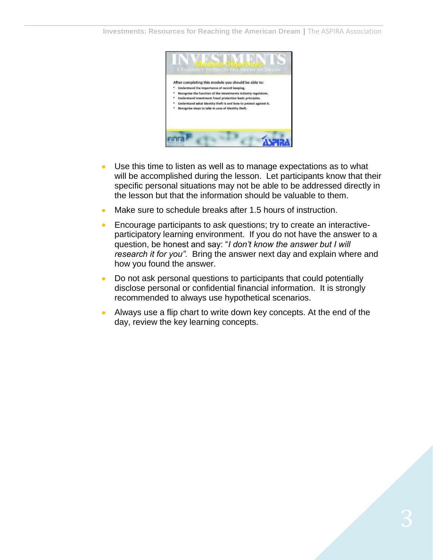

- $\bullet$ Use this time to listen as well as to manage expectations as to what will be accomplished during the lesson. Let participants know that their specific personal situations may not be able to be addressed directly in the lesson but that the information should be valuable to them.
- Make sure to schedule breaks after 1.5 hours of instruction.  $\bullet$
- Encourage participants to ask questions; try to create an interactive- $\bullet$ participatory learning environment. If you do not have the answer to a question, be honest and say: "I don't know the answer but I will *research it for you".* Bring the answer next day and explain where and how you found the answer.
- Do not ask personal questions to participants that could potentially disclose personal or confidential financial information. It is strongly recommended to always use hypothetical scenarios.
- Always use a flip chart to write down key concepts. At the end of the day, review the key learning concepts.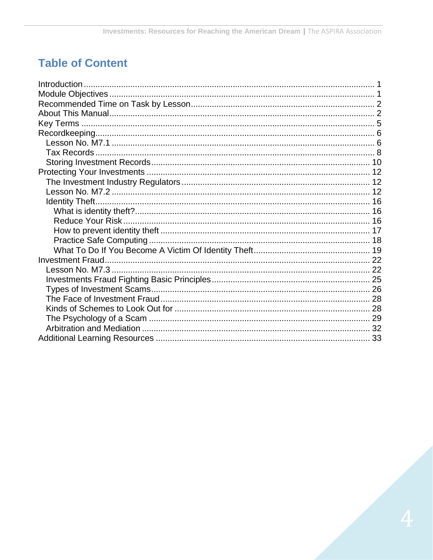### **Table of Content**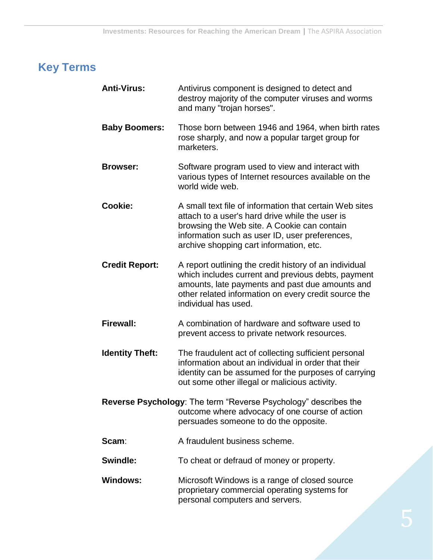### <span id="page-4-0"></span>**Key Terms**

- **Anti-Virus:** Antivirus component is designed to detect and destroy majority of the computer viruses and worms and many "trojan horses".
- **Baby Boomers:** Those born between 1946 and 1964, when birth rates rose sharply, and now a popular target group for marketers.
- **Browser:** Software program used to view and interact with various types of Internet resources available on the world wide web.
- **Cookie:** A small text file of information that certain Web sites attach to a user's hard drive while the user is browsing the Web site. A Cookie can contain information such as user ID, user preferences, archive shopping cart information, etc.
- **Credit Report:** A report outlining the credit history of an individual which includes current and previous debts, payment amounts, late payments and past due amounts and other related information on every credit source the individual has used.
- **Firewall:** A combination of hardware and software used to prevent access to private network resources.
- **Identity Theft:** The fraudulent act of collecting sufficient personal information about an individual in order that their identity can be assumed for the purposes of carrying out some other illegal or malicious activity.
- **Reverse Psychology:** The term "Reverse Psychology" describes the outcome where advocacy of one course of action persuades someone to do the opposite.
- **Scam:** A fraudulent business scheme.
- **Swindle:** To cheat or defraud of money or property.
- **Windows:** Microsoft Windows is a range of closed source proprietary commercial operating systems for personal computers and servers.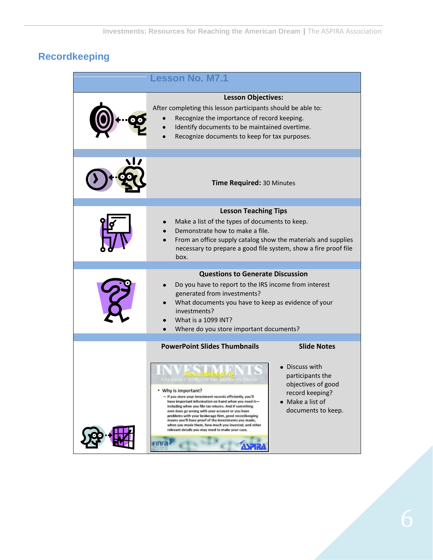### <span id="page-5-0"></span>**Recordkeeping**

<span id="page-5-1"></span>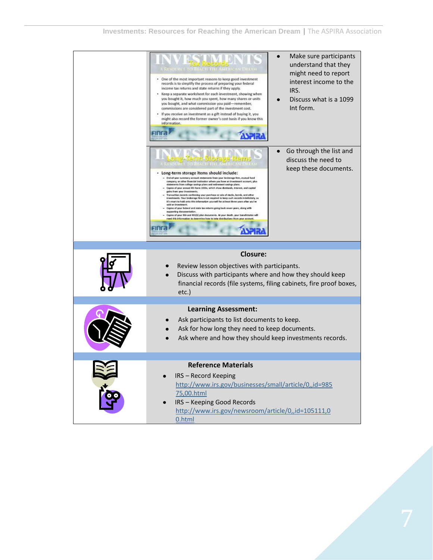| Make sure participants<br>understand that they<br>might need to report<br>. One of the most important reasons to keep good investment<br>interest income to the<br>records is to simplify the process of preparing your federal<br>income tax returns and state returns if they apply.<br>IRS.<br>- Keep a separate worksheet for each investment, showing when<br>you bought it, how much you spent, how many shares or units<br>Discuss what is a 1099<br>you bought, and what commission you paid-remember,<br>Int form.<br>commissions are considered part of the investment cost.<br>· If you receive an investment as a gift instead of buying it, you<br>might also record the former owner's cost basis if you know this<br>information                                                                                                                                                                                                                                                                                                                             |
|-----------------------------------------------------------------------------------------------------------------------------------------------------------------------------------------------------------------------------------------------------------------------------------------------------------------------------------------------------------------------------------------------------------------------------------------------------------------------------------------------------------------------------------------------------------------------------------------------------------------------------------------------------------------------------------------------------------------------------------------------------------------------------------------------------------------------------------------------------------------------------------------------------------------------------------------------------------------------------------------------------------------------------------------------------------------------------|
| Go through the list and<br>discuss the need to<br>keep these documents.<br>Long-term storage items should include:<br>End-of-year summary account statements from your brokerage firm, mutual fund<br>company, or other financial institution where you have an investment account, plus<br>statements from college savings plans and retirement savings plans.<br>Copies of your annual IRS Form 1000s, which show dividends, interest, and capital<br>gains from your investments.<br>Transaction records continning your purchase or sale of stocks, bonds, and other<br>investments. Your brokerage firm is not required to keep such records indelinitely, so<br>It's smart to hold onto this information yourself for at least three years after you've<br>sold an investment.<br>Copies of your federal and state tax returns going back seem years, along with<br>superting documentation.<br>Copies of your IRA and 400(k) plan documents. At your death, your baneficiaries will<br>wed this information to determine how to take distributions from your account |
|                                                                                                                                                                                                                                                                                                                                                                                                                                                                                                                                                                                                                                                                                                                                                                                                                                                                                                                                                                                                                                                                             |
| <b>Closure:</b><br>Review lesson objectives with participants.<br>Discuss with participants where and how they should keep<br>financial records (file systems, filing cabinets, fire proof boxes,<br>etc.)                                                                                                                                                                                                                                                                                                                                                                                                                                                                                                                                                                                                                                                                                                                                                                                                                                                                  |
|                                                                                                                                                                                                                                                                                                                                                                                                                                                                                                                                                                                                                                                                                                                                                                                                                                                                                                                                                                                                                                                                             |
| <b>Learning Assessment:</b><br>Ask participants to list documents to keep.<br>Ask for how long they need to keep documents.<br>Ask where and how they should keep investments records.                                                                                                                                                                                                                                                                                                                                                                                                                                                                                                                                                                                                                                                                                                                                                                                                                                                                                      |
| <b>Reference Materials</b>                                                                                                                                                                                                                                                                                                                                                                                                                                                                                                                                                                                                                                                                                                                                                                                                                                                                                                                                                                                                                                                  |
| IRS - Record Keeping<br>http://www.irs.gov/businesses/small/article/0,,id=985                                                                                                                                                                                                                                                                                                                                                                                                                                                                                                                                                                                                                                                                                                                                                                                                                                                                                                                                                                                               |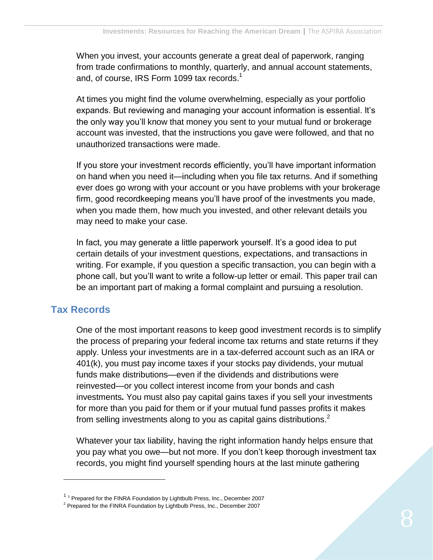When you invest, your accounts generate a great deal of paperwork, ranging from trade confirmations to monthly, quarterly, and annual account statements, and, of course, IRS Form 1099 tax records.<sup>1</sup>

At times you might find the volume overwhelming, especially as your portfolio expands. But reviewing and managing your account information is essential. It's the only way you'll know that money you sent to your mutual fund or brokerage account was invested, that the instructions you gave were followed, and that no unauthorized transactions were made.

If you store your investment records efficiently, you'll have important information on hand when you need it—including when you file tax returns. And if something ever does go wrong with your account or you have problems with your brokerage firm, good recordkeeping means you'll have proof of the investments you made, when you made them, how much you invested, and other relevant details you may need to make your case.

In fact, you may generate a little paperwork yourself. It's a good idea to put certain details of your investment questions, expectations, and transactions in writing. For example, if you question a specific transaction, you can begin with a phone call, but you'll want to write a follow-up letter or email. This paper trail can be an important part of making a formal complaint and pursuing a resolution.

### <span id="page-7-0"></span>**Tax Records**

**.** 

One of the most important reasons to keep good investment records is to simplify the process of preparing your federal income tax returns and state returns if they apply. Unless your investments are in a tax-deferred account such as an IRA or 401(k), you must pay income taxes if your stocks pay dividends, your mutual funds make distributions—even if the dividends and distributions were reinvested—or you collect interest income from your bonds and cash investments*.* You must also pay capital gains taxes if you sell your investments for more than you paid for them or if your mutual fund passes profits it makes from selling investments along to you as capital gains distributions. $2^2$ 

Whatever your tax liability, having the right information handy helps ensure that you pay what you owe—but not more. If you don't keep thorough investment tax records, you might find yourself spending hours at the last minute gathering

 $1$ <sup>1</sup> Prepared for the FINRA Foundation by Lightbulb Press, Inc., December 2007

 $2$  Prepared for the FINRA Foundation by Lightbulb Press, Inc., December 2007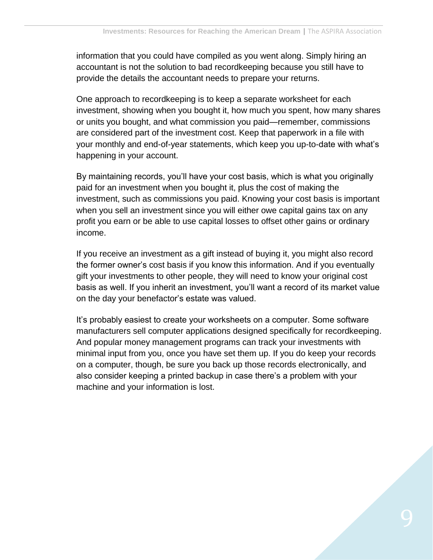information that you could have compiled as you went along. Simply hiring an accountant is not the solution to bad recordkeeping because you still have to provide the details the accountant needs to prepare your returns.

One approach to recordkeeping is to keep a separate worksheet for each investment, showing when you bought it, how much you spent, how many shares or units you bought, and what commission you paid—remember, commissions are considered part of the investment cost. Keep that paperwork in a file with your monthly and end-of-year statements, which keep you up-to-date with what's happening in your account.

By maintaining records, you'll have your cost basis, which is what you originally paid for an investment when you bought it, plus the cost of making the investment, such as commissions you paid. Knowing your cost basis is important when you sell an investment since you will either owe capital gains tax on any profit you earn or be able to use capital losses to offset other gains or ordinary income.

If you receive an investment as a gift instead of buying it, you might also record the former owner's cost basis if you know this information. And if you eventually gift your investments to other people, they will need to know your original cost basis as well. If you inherit an investment, you'll want a record of its market value on the day your benefactor's estate was valued.

<span id="page-8-0"></span>It's probably easiest to create your worksheets on a computer. Some software manufacturers sell computer applications designed specifically for recordkeeping. And popular money management programs can track your investments with minimal input from you, once you have set them up. If you do keep your records on a computer, though, be sure you back up those records electronically, and also consider keeping a printed backup in case there's a problem with your machine and your information is lost.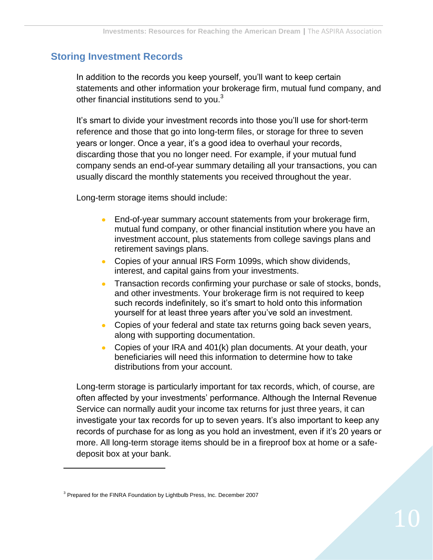#### **Storing Investment Records**

In addition to the records you keep yourself, you'll want to keep certain statements and other information your brokerage firm, mutual fund company, and other financial institutions send to you.<sup>3</sup>

It's smart to divide your investment records into those you'll use for short-term reference and those that go into long-term files, or storage for three to seven years or longer. Once a year, it's a good idea to overhaul your records, discarding those that you no longer need. For example, if your mutual fund company sends an end-of-year summary detailing all your transactions, you can usually discard the monthly statements you received throughout the year.

Long-term storage items should include:

- End-of-year summary account statements from your brokerage firm,  $\bullet$ mutual fund company, or other financial institution where you have an investment account, plus statements from college savings plans and retirement savings plans.
- Copies of your annual IRS Form 1099s, which show dividends, interest, and capital gains from your investments.
- Transaction records confirming your purchase or sale of stocks, bonds, and other investments. Your brokerage firm is not required to keep such records indefinitely, so it's smart to hold onto this information yourself for at least three years after you've sold an investment.
- $\bullet$ Copies of your federal and state tax returns going back seven years, along with supporting documentation.
- $\bullet$ Copies of your IRA and 401(k) plan documents. At your death, your beneficiaries will need this information to determine how to take distributions from your account.

Long-term storage is particularly important for tax records, which, of course, are often affected by your investments' performance. Although the Internal Revenue Service can normally audit your income tax returns for just three years, it can investigate your tax records for up to seven years. It's also important to keep any records of purchase for as long as you hold an investment, even if it's 20 years or more. All long-term storage items should be in a fireproof box at home or a safedeposit box at your bank.

**.** 

<sup>&</sup>lt;sup>3</sup> Prepared for the FINRA Foundation by Lightbulb Press, Inc. December 2007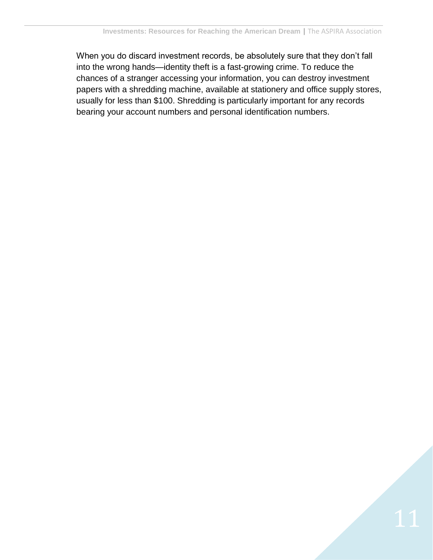When you do discard investment records, be absolutely sure that they don't fall into the wrong hands—identity theft is a fast-growing crime. To reduce the chances of a stranger accessing your information, you can destroy investment papers with a shredding machine, available at stationery and office supply stores, usually for less than \$100. Shredding is particularly important for any records bearing your account numbers and personal identification numbers.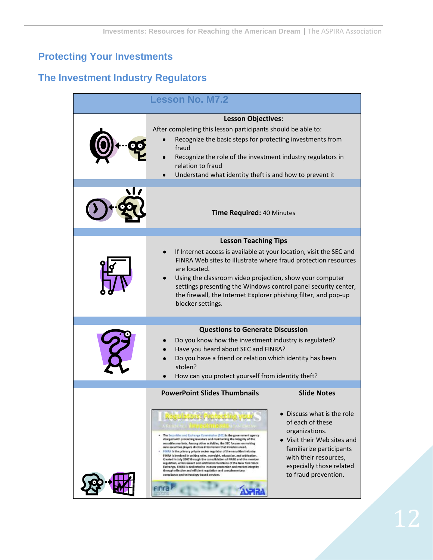## <span id="page-11-0"></span>**Protecting Your Investments**

### <span id="page-11-1"></span>**The Investment Industry Regulators**

<span id="page-11-2"></span>

| esson No. M7.2                                                                                                                                                                                                                                                                                                                                                                                                                                                                                                                                                                                                                                                                                                                                                                                          |                                                                                                                                                                                                                     |
|---------------------------------------------------------------------------------------------------------------------------------------------------------------------------------------------------------------------------------------------------------------------------------------------------------------------------------------------------------------------------------------------------------------------------------------------------------------------------------------------------------------------------------------------------------------------------------------------------------------------------------------------------------------------------------------------------------------------------------------------------------------------------------------------------------|---------------------------------------------------------------------------------------------------------------------------------------------------------------------------------------------------------------------|
| <b>Lesson Objectives:</b><br>After completing this lesson participants should be able to:<br>Recognize the basic steps for protecting investments from<br>fraud<br>Recognize the role of the investment industry regulators in<br>relation to fraud<br>Understand what identity theft is and how to prevent it                                                                                                                                                                                                                                                                                                                                                                                                                                                                                          |                                                                                                                                                                                                                     |
| Time Required: 40 Minutes                                                                                                                                                                                                                                                                                                                                                                                                                                                                                                                                                                                                                                                                                                                                                                               |                                                                                                                                                                                                                     |
| <b>Lesson Teaching Tips</b>                                                                                                                                                                                                                                                                                                                                                                                                                                                                                                                                                                                                                                                                                                                                                                             |                                                                                                                                                                                                                     |
| If Internet access is available at your location, visit the SEC and<br>FINRA Web sites to illustrate where fraud protection resources<br>are located.<br>Using the classroom video projection, show your computer<br>the firewall, the Internet Explorer phishing filter, and pop-up<br>blocker settings.                                                                                                                                                                                                                                                                                                                                                                                                                                                                                               | settings presenting the Windows control panel security center,                                                                                                                                                      |
| <b>Questions to Generate Discussion</b>                                                                                                                                                                                                                                                                                                                                                                                                                                                                                                                                                                                                                                                                                                                                                                 |                                                                                                                                                                                                                     |
| Do you know how the investment industry is regulated?<br>Have you heard about SEC and FINRA?<br>Do you have a friend or relation which identity has been<br>stolen?<br>How can you protect yourself from identity theft?                                                                                                                                                                                                                                                                                                                                                                                                                                                                                                                                                                                |                                                                                                                                                                                                                     |
| <b>PowerPoint Slides Thumbnails</b>                                                                                                                                                                                                                                                                                                                                                                                                                                                                                                                                                                                                                                                                                                                                                                     | <b>Slide Notes</b>                                                                                                                                                                                                  |
| . The Securities and Exchange Commission (SEC) is the government agency<br>charged with protecting investors and maintaining the integrity of the<br>securities markets. Among other activities, the SEC focuses on making<br>sure securities players disclose information that investors need.<br>FINSA is the primary private sector regulator of the securities industry.<br>FINRA is involved in writing rules, oversight, education, and arbitration.<br>Created in July 2007 through the consolidation of NASD and the member<br>regulation, enforcement and arbitration functions of the New York Stock<br>Eachange, FINRA is dedicated to investor protection and market integrity<br>through effective and efficient regulation and complementary<br>compliance and technology-based services. | Discuss what is the role<br>$\bullet$<br>of each of these<br>organizations.<br>• Visit their Web sites and<br>familiarize participants<br>with their resources,<br>especially those related<br>to fraud prevention. |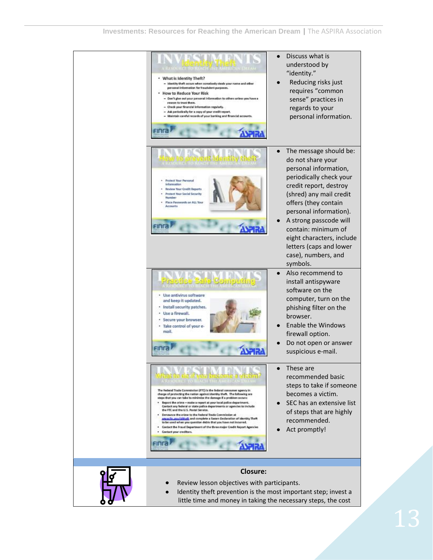

Identity theft prevention is the most important step; invest a little time and money in taking the necessary steps, the cost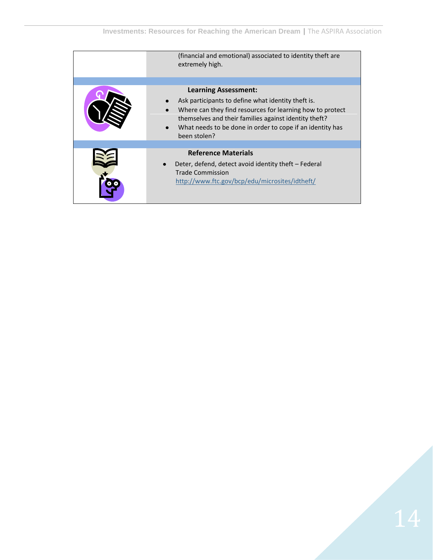| (financial and emotional) associated to identity theft are<br>extremely high.                                                                                                                                                                                                        |
|--------------------------------------------------------------------------------------------------------------------------------------------------------------------------------------------------------------------------------------------------------------------------------------|
| <b>Learning Assessment:</b><br>Ask participants to define what identity theft is.<br>Where can they find resources for learning how to protect<br>themselves and their families against identity theft?<br>What needs to be done in order to cope if an identity has<br>been stolen? |
| <b>Reference Materials</b><br>Deter, defend, detect avoid identity theft – Federal<br><b>Trade Commission</b><br>http://www.ftc.gov/bcp/edu/microsites/idtheft/                                                                                                                      |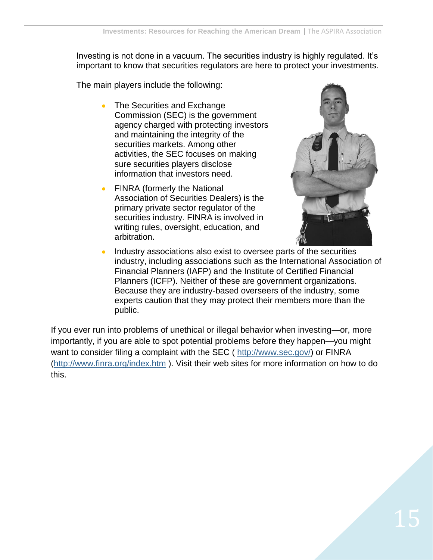Investing is not done in a vacuum. The securities industry is highly regulated. It's important to know that securities regulators are here to protect your investments.

The main players include the following:

- The Securities and Exchange Commission (SEC) is the government agency charged with protecting investors and maintaining the integrity of the securities markets. Among other activities, the SEC focuses on making sure securities players disclose information that investors need.
- FINRA (formerly the National Association of Securities Dealers) is the primary private sector regulator of the securities industry. FINRA is involved in writing rules, oversight, education, and arbitration.



Industry associations also exist to oversee parts of the securities industry, including associations such as the International Association of Financial Planners (IAFP) and the Institute of Certified Financial Planners (ICFP). Neither of these are government organizations. Because they are industry-based overseers of the industry, some experts caution that they may protect their members more than the public.

If you ever run into problems of unethical or illegal behavior when investing—or, more importantly, if you are able to spot potential problems before they happen—you might want to consider filing a complaint with the SEC ( [http://www.sec.gov/\)](http://www.sec.gov/) or FINRA [\(http://www.finra.org/index.htm](http://www.finra.org/index.htm) ). Visit their web sites for more information on how to do this.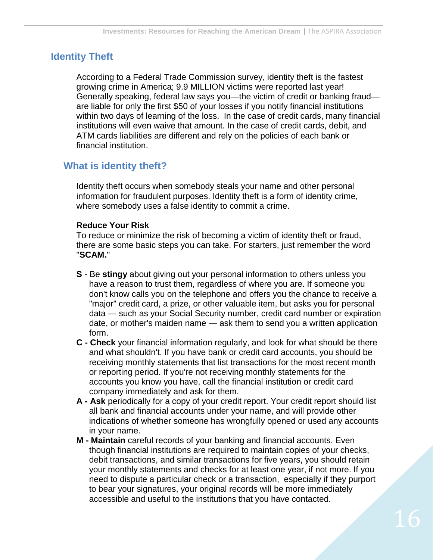#### <span id="page-15-0"></span>**Identity Theft**

According to a Federal Trade Commission survey, identity theft is the fastest growing crime in America; 9.9 MILLION victims were reported last year! Generally speaking, federal law says you—the victim of credit or banking fraud are liable for only the first \$50 of your losses if you notify financial institutions within two days of learning of the loss. In the case of credit cards, many financial institutions will even waive that amount. In the case of credit cards, debit, and ATM cards liabilities are different and rely on the policies of each bank or financial institution.

### <span id="page-15-1"></span>**What is identity theft?**

Identity theft occurs when somebody steals your name and other personal information for fraudulent purposes. Identity theft is a form of identity crime, where somebody uses a false identity to commit a crime.

#### <span id="page-15-2"></span>**Reduce Your Risk**

To reduce or minimize the risk of becoming a victim of identity theft or fraud, there are some basic steps you can take. For starters, just remember the word "**SCAM.**"

- **S** Be **stingy** about giving out your personal information to others unless you have a reason to trust them, regardless of where you are. If someone you don't know calls you on the telephone and offers you the chance to receive a "major" credit card, a prize, or other valuable item, but asks you for personal data — such as your Social Security number, credit card number or expiration date, or mother's maiden name — ask them to send you a written application form.
- **C - Check** your financial information regularly, and look for what should be there and what shouldn't. If you have bank or credit card accounts, you should be receiving monthly statements that list transactions for the most recent month or reporting period. If you're not receiving monthly statements for the accounts you know you have, call the financial institution or credit card company immediately and ask for them.
- **A - Ask** periodically for a copy of your credit report. Your credit report should list all bank and financial accounts under your name, and will provide other indications of whether someone has wrongfully opened or used any accounts in your name.
- **M - Maintain** careful records of your banking and financial accounts. Even though financial institutions are required to maintain copies of your checks, debit transactions, and similar transactions for five years, you should retain your monthly statements and checks for at least one year, if not more. If you need to dispute a particular check or a transaction, especially if they purport to bear your signatures, your original records will be more immediately accessible and useful to the institutions that you have contacted.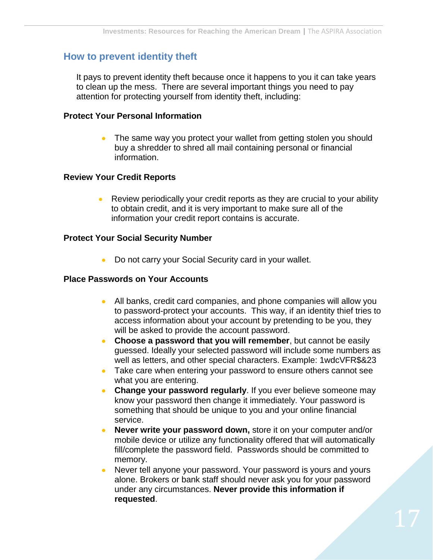#### <span id="page-16-0"></span>**How to prevent identity theft**

It pays to prevent identity theft because once it happens to you it can take years to clean up the mess. There are several important things you need to pay attention for protecting yourself from identity theft, including:

#### **Protect Your Personal Information**

The same way you protect your wallet from getting stolen you should  $\bullet$ buy a shredder to shred all mail containing personal or financial information.

#### **Review Your Credit Reports**

• Review periodically your credit reports as they are crucial to your ability to obtain credit, and it is very important to make sure all of the information your credit report contains is accurate.

#### **Protect Your Social Security Number**

• Do not carry your Social Security card in your wallet.

#### **Place Passwords on Your Accounts**

- All banks, credit card companies, and phone companies will allow you  $\bullet$ to password-protect your accounts. This way, if an identity thief tries to access information about your account by pretending to be you, they will be asked to provide the account password.
- **Choose a password that you will remember**, but cannot be easily  $\bullet$ guessed. Ideally your selected password will include some numbers as well as letters, and other special characters. Example: 1wdcVFR\$&23
- Take care when entering your password to ensure others cannot see what you are entering.
- $\bullet$ **Change your password regularly**. If you ever believe someone may know your password then change it immediately. Your password is something that should be unique to you and your online financial service.
- $\bullet$ **Never write your password down,** store it on your computer and/or mobile device or utilize any functionality offered that will automatically fill/complete the password field. Passwords should be committed to memory.
- Never tell anyone your password. Your password is yours and yours alone. Brokers or bank staff should never ask you for your password under any circumstances. **Never provide this information if requested**.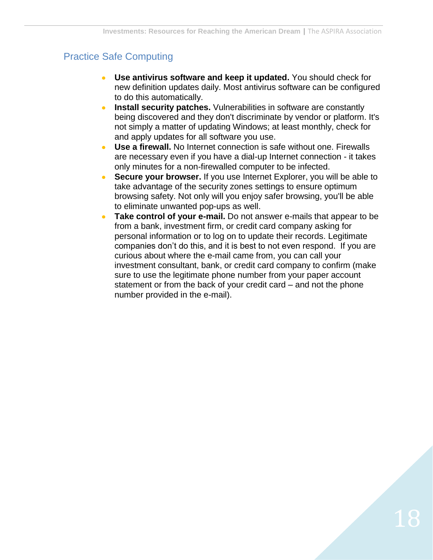### <span id="page-17-0"></span>Practice Safe Computing

- $\bullet$ **Use antivirus software and keep it updated.** You should check for new definition updates daily. Most antivirus software can be configured to do this automatically.
- $\bullet$ **Install security patches.** Vulnerabilities in software are constantly being discovered and they don't discriminate by vendor or platform. It's not simply a matter of updating Windows; at least monthly, check for and apply updates for all software you use.
- **Use a firewall.** No Internet connection is safe without one. Firewalls  $\bullet$ are necessary even if you have a dial-up Internet connection - it takes only minutes for a non-firewalled computer to be infected.
- **Secure your browser.** If you use Internet Explorer, you will be able to  $\bullet$ take advantage of the security zones settings to ensure optimum browsing safety. Not only will you enjoy safer browsing, you'll be able to eliminate unwanted pop-ups as well.
- **Take control of your e-mail.** Do not answer e-mails that appear to be from a bank, investment firm, or credit card company asking for personal information or to log on to update their records. Legitimate companies don't do this, and it is best to not even respond. If you are curious about where the e-mail came from, you can call your investment consultant, bank, or credit card company to confirm (make sure to use the legitimate phone number from your paper account statement or from the back of your credit card – and not the phone number provided in the e-mail).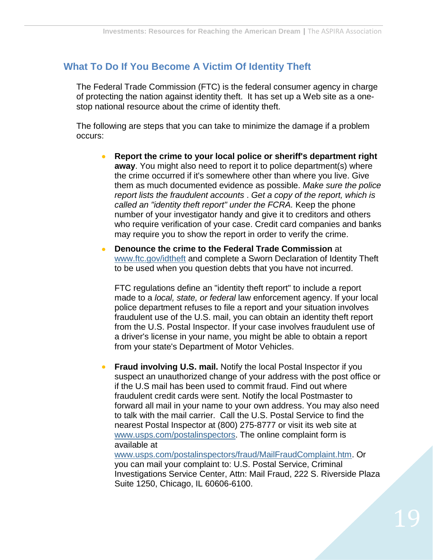### <span id="page-18-0"></span>**What To Do If You Become A Victim Of Identity Theft**

The Federal Trade Commission (FTC) is the federal consumer agency in charge of protecting the nation against identity theft. It has set up a Web site as a onestop national resource about the crime of identity theft.

The following are steps that you can take to minimize the damage if a problem occurs:

- **Report the crime to your local police or sheriff's department right**   $\bullet$  . **away**. You might also need to report it to police department(s) where the crime occurred if it's somewhere other than where you live. Give them as much documented evidence as possible. *Make sure the police report lists the fraudulent accounts* . *Get a copy of the report, which is called an "identity theft report" under the FCRA.* Keep the phone number of your investigator handy and give it to creditors and others who require verification of your case. Credit card companies and banks may require you to show the report in order to verify the crime.
- **Denounce the crime to the Federal Trade Commission** at [www.ftc.gov/idtheft](http://www.ftc.gov/idtheft) and complete a Sworn Declaration of Identity Theft to be used when you question debts that you have not incurred.

FTC regulations define an "identity theft report" to include a report made to a *local, state, or federal* law enforcement agency. If your local police department refuses to file a report and your situation involves fraudulent use of the U.S. mail, you can obtain an identity theft report from the U.S. Postal Inspector. If your case involves fraudulent use of a driver's license in your name, you might be able to obtain a report from your state's Department of Motor Vehicles.

**Fraud involving U.S. mail.** Notify the local Postal Inspector if you  $\bullet$ suspect an unauthorized change of your address with the post office or if the U.S mail has been used to commit fraud. Find out where fraudulent credit cards were sent. Notify the local Postmaster to forward all mail in your name to your own address. You may also need to talk with the mail carrier. Call the U.S. Postal Service to find the nearest Postal Inspector at (800) 275-8777 or visit its web site at [www.usps.com/postalinspectors.](http://www.usps.gov/websites/depart/inspect) The online complaint form is available at

[www.usps.com/postalinspectors/fraud/MailFraudComplaint.htm.](http://www.usps.com/postalinspectors/fraud/MailFraudComplaint.htm) Or you can mail your complaint to: U.S. Postal Service, Criminal Investigations Service Center, Attn: Mail Fraud, 222 S. Riverside Plaza Suite 1250, Chicago, IL 60606-6100.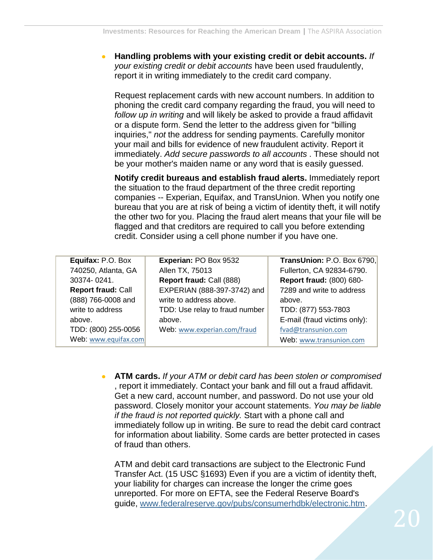**Handling problems with your existing credit or debit accounts.** *If your existing credit or debit accounts* have been used fraudulently, report it in writing immediately to the credit card company.

Request replacement cards with new account numbers. In addition to phoning the credit card company regarding the fraud, you will need to *follow up in writing* and will likely be asked to provide a fraud affidavit or a dispute form. Send the letter to the address given for "billing inquiries," *not* the address for sending payments. Carefully monitor your mail and bills for evidence of new fraudulent activity. Report it immediately. *Add secure passwords to all accounts* . These should not be your mother's maiden name or any word that is easily guessed.

**Notify credit bureaus and establish fraud alerts.** Immediately report the situation to the fraud department of the three credit reporting companies -- Experian, Equifax, and TransUnion. When you notify one bureau that you are at risk of being a victim of identity theft, it will notify the other two for you. Placing the fraud alert means that your file will be flagged and that creditors are required to call you before extending credit. Consider using a cell phone number if you have one.

| Equifax: P.O. Box         | Experian: PO Box 9532          | TransUnion: P.O. Box 6790,      |
|---------------------------|--------------------------------|---------------------------------|
| 740250, Atlanta, GA       | Allen TX, 75013                | Fullerton, CA 92834-6790.       |
| 30374-0241.               | Report fraud: Call (888)       | <b>Report fraud: (800) 680-</b> |
| <b>Report fraud: Call</b> | EXPERIAN (888-397-3742) and    | 7289 and write to address       |
| (888) 766-0008 and        | write to address above.        | above.                          |
| write to address          | TDD: Use relay to fraud number | TDD: (877) 553-7803             |
| above.                    | above.                         | E-mail (fraud victims only):    |
| TDD: (800) 255-0056       | Web: www.experian.com/fraud    | fvad@transunion.com             |
| Web: www.equifax.com      |                                | Web: www.transunion.com         |
|                           |                                |                                 |

**ATM cards.** *If your ATM or debit card has been stolen or compromised*  , report it immediately. Contact your bank and fill out a fraud affidavit. Get a new card, account number, and password. Do not use your old password. Closely monitor your account statements. *You may be liable if the fraud is not reported quickly.* Start with a phone call and immediately follow up in writing. Be sure to read the debit card contract for information about liability. Some cards are better protected in cases of fraud than others.

ATM and debit card transactions are subject to the Electronic Fund Transfer Act. (15 USC §1693) Even if you are a victim of identity theft, your liability for charges can increase the longer the crime goes unreported. For more on EFTA, see the Federal Reserve Board's guide, [www.federalreserve.gov/pubs/consumerhdbk/electronic.htm.](http://www.federalreserve.gov/pubs/consumerhdbk/electronic.htm)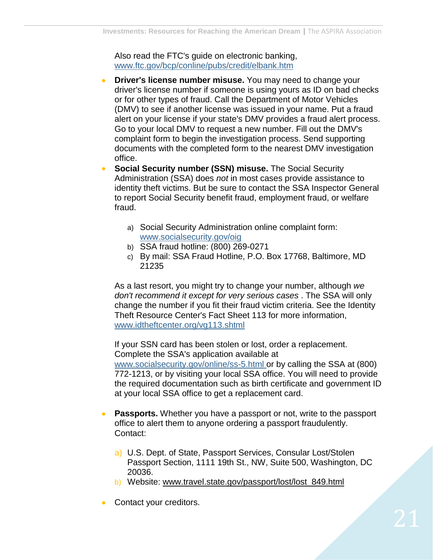Also read the FTC's guide on electronic banking, [www.ftc.gov/bcp/conline/pubs/credit/elbank.htm](http://www.ftc.gov/bcp/conline/pubs/credit/elbank.htm)

- **Driver's license number misuse.** You may need to change your driver's license number if someone is using yours as ID on bad checks or for other types of fraud. Call the Department of Motor Vehicles (DMV) to see if another license was issued in your name. Put a fraud alert on your license if your state's DMV provides a fraud alert process. Go to your local DMV to request a new number. Fill out the DMV's complaint form to begin the investigation process. Send supporting documents with the completed form to the nearest DMV investigation office.
- **Social Security number (SSN) misuse.** The Social Security Administration (SSA) does *not* in most cases provide assistance to identity theft victims. But be sure to contact the SSA Inspector General to report Social Security benefit fraud, employment fraud, or welfare fraud.
	- a) Social Security Administration online complaint form: [www.socialsecurity.gov/oig](http://www.socialsecurity.gov/oig)
	- b) SSA fraud hotline: (800) 269-0271
	- c) By mail: SSA Fraud Hotline, P.O. Box 17768, Baltimore, MD 21235

As a last resort, you might try to change your number, although *we don't recommend it except for very serious cases* . The SSA will only change the number if you fit their fraud victim criteria. See the Identity Theft Resource Center's Fact Sheet 113 for more information, [www.idtheftcenter.org/vg113.shtml](http://www.idtheftcenter.org/vg113.shtml) 

If your SSN card has been stolen or lost, order a replacement. Complete the SSA's application available at [www.socialsecurity.gov/online/ss-5.html o](http://www.socialsecurity.gov/online/ss-5.html)r by calling the SSA at (800) 772-1213, or by visiting your local SSA office. You will need to provide the required documentation such as birth certificate and government ID at your local SSA office to get a replacement card.

- **Passports.** Whether you have a passport or not, write to the passport office to alert them to anyone ordering a passport fraudulently. Contact:
	- a) U.S. Dept. of State, Passport Services, Consular Lost/Stolen Passport Section, 1111 19th St., NW, Suite 500, Washington, DC 20036.
	- b) Website: [www.travel.state.gov/passport/lost/lost\\_849.html](http://www.travel.state.gov/passport/lost/lost_849.html)
- Contact your creditors.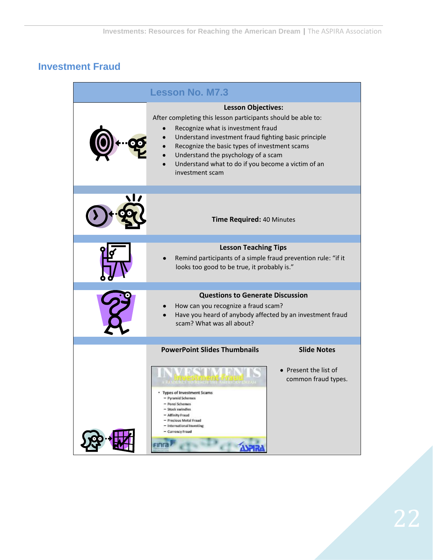### <span id="page-21-0"></span>**Investment Fraud**

<span id="page-21-1"></span>

| <b>Lesson No. M7.3</b>                                                                                                                                                                                                                                                                                                                                   |
|----------------------------------------------------------------------------------------------------------------------------------------------------------------------------------------------------------------------------------------------------------------------------------------------------------------------------------------------------------|
| <b>Lesson Objectives:</b><br>After completing this lesson participants should be able to:<br>Recognize what is investment fraud<br>Understand investment fraud fighting basic principle<br>Recognize the basic types of investment scams<br>Understand the psychology of a scam<br>Understand what to do if you become a victim of an<br>investment scam |
| Time Required: 40 Minutes                                                                                                                                                                                                                                                                                                                                |
| <b>Lesson Teaching Tips</b><br>Remind participants of a simple fraud prevention rule: "if it<br>looks too good to be true, it probably is."                                                                                                                                                                                                              |
| <b>Questions to Generate Discussion</b><br>How can you recognize a fraud scam?<br>Have you heard of anybody affected by an investment fraud<br>scam? What was all about?                                                                                                                                                                                 |
| <b>PowerPoint Slides Thumbnails</b><br><b>Slide Notes</b><br>• Present the list of<br>common fraud types.<br><b>Types of Investment Scams</b><br>- Pyramid Schemes<br>- Ponzi Schemes<br>- Stock swindles<br>- Affinity Fraud<br>- Precious Metal Fraud<br>- international Investing<br><b>Currency Fraud</b>                                            |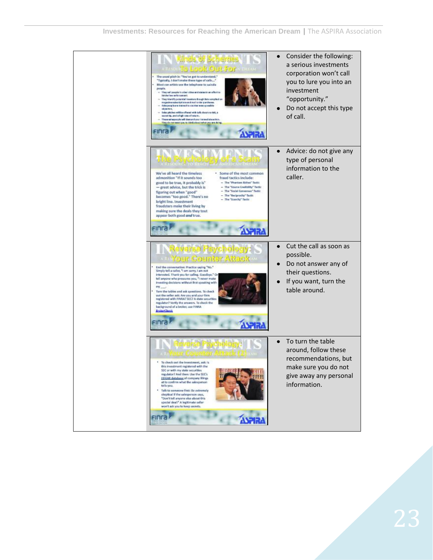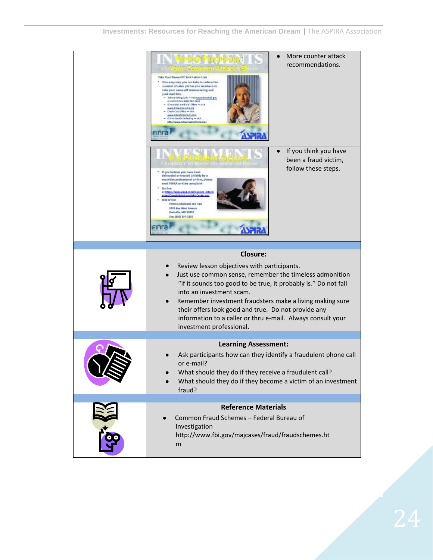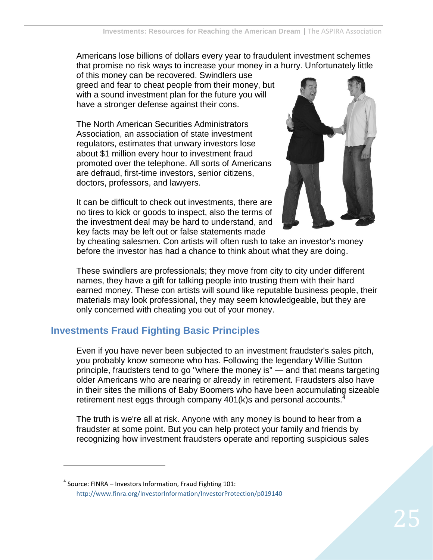Americans lose billions of dollars every year to fraudulent investment schemes that promise no risk ways to increase your money in a hurry. Unfortunately little

of this money can be recovered. Swindlers use greed and fear to cheat people from their money, but with a sound investment plan for the future you will have a stronger defense against their cons.

The North American Securities Administrators Association, an association of state investment regulators, estimates that unwary investors lose about \$1 million every hour to investment fraud promoted over the telephone. All sorts of Americans are defraud, first-time investors, senior citizens, doctors, professors, and lawyers.

It can be difficult to check out investments, there are no tires to kick or goods to inspect, also the terms of the investment deal may be hard to understand, and key facts may be left out or false statements made



by cheating salesmen. Con artists will often rush to take an investor's money before the investor has had a chance to think about what they are doing.

These swindlers are professionals; they move from city to city under different names, they have a gift for talking people into trusting them with their hard earned money. These con artists will sound like reputable business people, their materials may look professional, they may seem knowledgeable, but they are only concerned with cheating you out of your money.

### <span id="page-24-0"></span>**Investments Fraud Fighting Basic Principles**

Even if you have never been subjected to an investment fraudster's sales pitch, you probably know someone who has. Following the legendary Willie Sutton principle, fraudsters tend to go "where the money is" — and that means targeting older Americans who are nearing or already in retirement. Fraudsters also have in their sites the millions of Baby Boomers who have been accumulating sizeable retirement nest eggs through company 401(k)s and personal accounts.<sup>4</sup>

The truth is we're all at risk. Anyone with any money is bound to hear from a fraudster at some point. But you can help protect your family and friends by recognizing how investment fraudsters operate and reporting suspicious sales

1

<sup>4</sup> Source: FINRA – Investors Information, Fraud Fighting 101: <http://www.finra.org/InvestorInformation/InvestorProtection/p019140>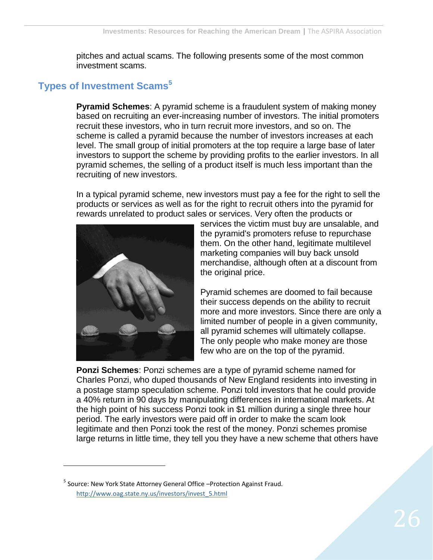pitches and actual scams. The following presents some of the most common investment scams.

### <span id="page-25-0"></span>**Types of Investment Scams<sup>5</sup>**

**Pyramid Schemes**: A pyramid scheme is a fraudulent system of making money based on recruiting an ever-increasing number of investors. The initial promoters recruit these investors, who in turn recruit more investors, and so on. The scheme is called a pyramid because the number of investors increases at each level. The small group of initial promoters at the top require a large base of later investors to support the scheme by providing profits to the earlier investors. In all pyramid schemes, the selling of a product itself is much less important than the recruiting of new investors.

In a typical pyramid scheme, new investors must pay a fee for the right to sell the products or services as well as for the right to recruit others into the pyramid for rewards unrelated to product sales or services. Very often the products or



1

services the victim must buy are unsalable, and the pyramid's promoters refuse to repurchase them. On the other hand, legitimate multilevel marketing companies will buy back unsold merchandise, although often at a discount from the original price.

Pyramid schemes are doomed to fail because their success depends on the ability to recruit more and more investors. Since there are only a limited number of people in a given community, all pyramid schemes will ultimately collapse. The only people who make money are those few who are on the top of the pyramid.

**Ponzi Schemes**: Ponzi schemes are a type of pyramid scheme named for Charles Ponzi, who duped thousands of New England residents into investing in a postage stamp speculation scheme. Ponzi told investors that he could provide a 40% return in 90 days by manipulating differences in international markets. At the high point of his success Ponzi took in \$1 million during a single three hour period. The early investors were paid off in order to make the scam look legitimate and then Ponzi took the rest of the money. Ponzi schemes promise large returns in little time, they tell you they have a new scheme that others have

<sup>&</sup>lt;sup>5</sup> Source: New York State Attorney General Office -Protection Against Fraud. [http://www.oag.state.ny.us/investors/invest\\_5.html](http://www.oag.state.ny.us/investors/invest_5.html)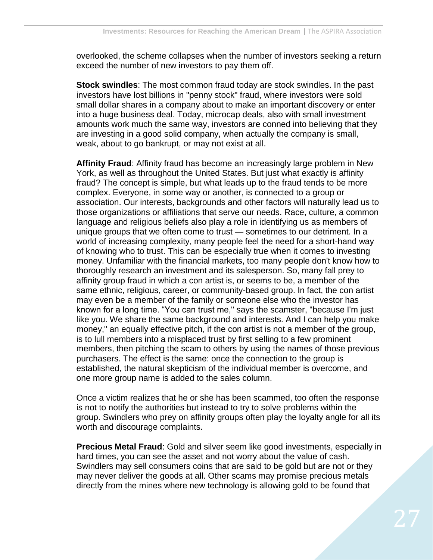overlooked, the scheme collapses when the number of investors seeking a return exceed the number of new investors to pay them off.

**Stock swindles**: The most common fraud today are stock swindles. In the past investors have lost billions in "penny stock" fraud, where investors were sold small dollar shares in a company about to make an important discovery or enter into a huge business deal. Today, microcap deals, also with small investment amounts work much the same way, investors are conned into believing that they are investing in a good solid company, when actually the company is small, weak, about to go bankrupt, or may not exist at all.

**Affinity Fraud**: Affinity fraud has become an increasingly large problem in New York, as well as throughout the United States. But just what exactly is affinity fraud? The concept is simple, but what leads up to the fraud tends to be more complex. Everyone, in some way or another, is connected to a group or association. Our interests, backgrounds and other factors will naturally lead us to those organizations or affiliations that serve our needs. Race, culture, a common language and religious beliefs also play a role in identifying us as members of unique groups that we often come to trust — sometimes to our detriment. In a world of increasing complexity, many people feel the need for a short-hand way of knowing who to trust. This can be especially true when it comes to investing money. Unfamiliar with the financial markets, too many people don't know how to thoroughly research an investment and its salesperson. So, many fall prey to affinity group fraud in which a con artist is, or seems to be, a member of the same ethnic, religious, career, or community-based group. In fact, the con artist may even be a member of the family or someone else who the investor has known for a long time. "You can trust me," says the scamster, "because I'm just like you. We share the same background and interests. And I can help you make money," an equally effective pitch, if the con artist is not a member of the group, is to lull members into a misplaced trust by first selling to a few prominent members, then pitching the scam to others by using the names of those previous purchasers. The effect is the same: once the connection to the group is established, the natural skepticism of the individual member is overcome, and one more group name is added to the sales column.

Once a victim realizes that he or she has been scammed, too often the response is not to notify the authorities but instead to try to solve problems within the group. Swindlers who prey on affinity groups often play the loyalty angle for all its worth and discourage complaints.

**Precious Metal Fraud**: Gold and silver seem like good investments, especially in hard times, you can see the asset and not worry about the value of cash. Swindlers may sell consumers coins that are said to be gold but are not or they may never deliver the goods at all. Other scams may promise precious metals directly from the mines where new technology is allowing gold to be found that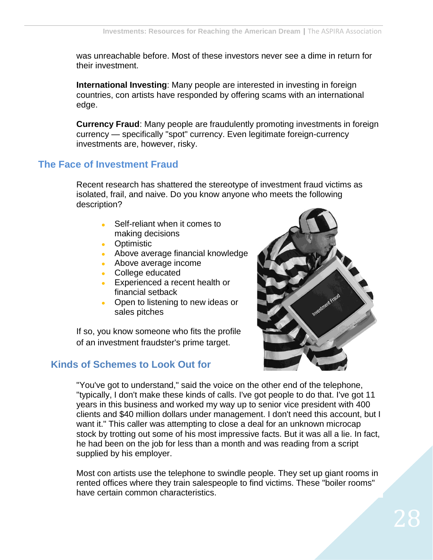was unreachable before. Most of these investors never see a dime in return for their investment.

**International Investing**: Many people are interested in investing in foreign countries, con artists have responded by offering scams with an international edge.

**Currency Fraud**: Many people are fraudulently promoting investments in foreign currency — specifically "spot" currency. Even legitimate foreign-currency investments are, however, risky.

#### <span id="page-27-0"></span>**The Face of Investment Fraud**

Recent research has shattered the stereotype of investment fraud victims as isolated, frail, and naive. Do you know anyone who meets the following description?

- $\bullet$  . Self-reliant when it comes to making decisions
- Optimistic
- Above average financial knowledge
- Above average income  $\bullet$  .
- College educated
- **Experienced a recent health or** financial setback
- Open to listening to new ideas or sales pitches

If so, you know someone who fits the profile of an investment fraudster's prime target.

### <span id="page-27-1"></span>**Kinds of Schemes to Look Out for**



"You've got to understand," said the voice on the other end of the telephone, "typically, I don't make these kinds of calls. I've got people to do that. I've got 11 years in this business and worked my way up to senior vice president with 400 clients and \$40 million dollars under management. I don't need this account, but I want it." This caller was attempting to close a deal for an unknown microcap stock by trotting out some of his most impressive facts. But it was all a lie. In fact, he had been on the job for less than a month and was reading from a script supplied by his employer.

Most con artists use the telephone to swindle people. They set up giant rooms in rented offices where they train salespeople to find victims. These "boiler rooms" have certain common characteristics.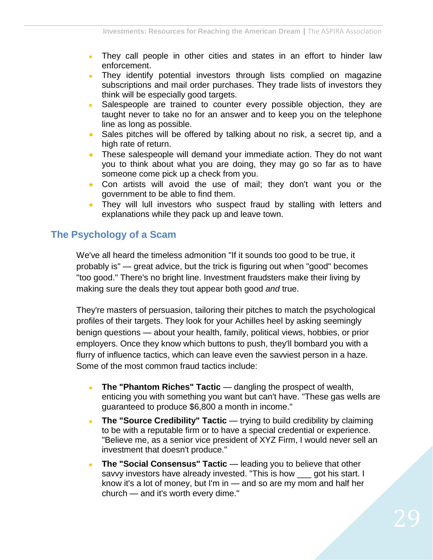- They call people in other cities and states in an effort to hinder law enforcement.
- They identify potential investors through lists complied on magazine subscriptions and mail order purchases. They trade lists of investors they think will be especially good targets.
- Salespeople are trained to counter every possible objection, they are taught never to take no for an answer and to keep you on the telephone line as long as possible.
- Sales pitches will be offered by talking about no risk, a secret tip, and a high rate of return.
- These salespeople will demand your immediate action. They do not want you to think about what you are doing, they may go so far as to have someone come pick up a check from you.
- Con artists will avoid the use of mail; they don't want you or the government to be able to find them.
- They will lull investors who suspect fraud by stalling with letters and explanations while they pack up and leave town.

### <span id="page-28-0"></span>**The Psychology of a Scam**

We've all heard the timeless admonition "If it sounds too good to be true, it probably is" — great advice, but the trick is figuring out when "good" becomes "too good." There's no bright line. Investment fraudsters make their living by making sure the deals they tout appear both good *and* true.

They're masters of persuasion, tailoring their pitches to match the psychological profiles of their targets. They look for your Achilles heel by asking seemingly benign questions — about your health, family, political views, hobbies, or prior employers. Once they know which buttons to push, they'll bombard you with a flurry of influence tactics, which can leave even the savviest person in a haze. Some of the most common fraud tactics include:

- **The "Phantom Riches" Tactic** dangling the prospect of wealth,  $\bullet$  . enticing you with something you want but can't have. "These gas wells are guaranteed to produce \$6,800 a month in income."
- **The "Source Credibility" Tactic** trying to build credibility by claiming  $\bullet$  . to be with a reputable firm or to have a special credential or experience. "Believe me, as a senior vice president of XYZ Firm, I would never sell an investment that doesn't produce."
- **The "Social Consensus" Tactic** leading you to believe that other savvy investors have already invested. "This is how \_\_\_ got his start. I know it's a lot of money, but I'm in — and so are my mom and half her church — and it's worth every dime."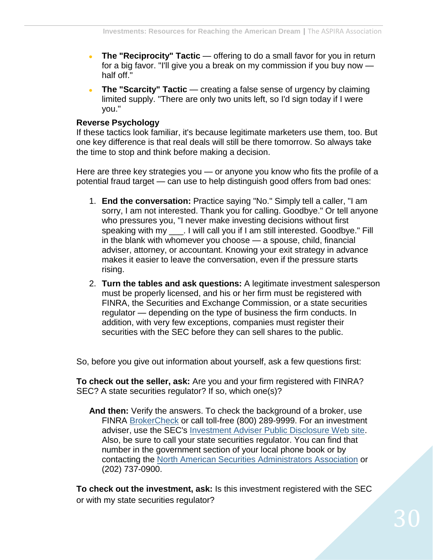- **The "Reciprocity" Tactic** offering to do a small favor for you in return  $\bullet$  . for a big favor. "I'll give you a break on my commission if you buy now half off."
- **The "Scarcity" Tactic** creating a false sense of urgency by claiming limited supply. "There are only two units left, so I'd sign today if I were you."

#### **Reverse Psychology**

If these tactics look familiar, it's because legitimate marketers use them, too. But one key difference is that real deals will still be there tomorrow. So always take the time to stop and think before making a decision.

Here are three key strategies you — or anyone you know who fits the profile of a potential fraud target — can use to help distinguish good offers from bad ones:

- 1. **End the conversation:** Practice saying "No." Simply tell a caller, "I am sorry, I am not interested. Thank you for calling. Goodbye." Or tell anyone who pressures you, "I never make investing decisions without first speaking with my . I will call you if I am still interested. Goodbye." Fill in the blank with whomever you choose — a spouse, child, financial adviser, attorney, or accountant. Knowing your exit strategy in advance makes it easier to leave the conversation, even if the pressure starts rising.
- 2. **Turn the tables and ask questions:** A legitimate investment salesperson must be properly licensed, and his or her firm must be registered with FINRA, the Securities and Exchange Commission, or a state securities regulator — depending on the type of business the firm conducts. In addition, with very few exceptions, companies must register their securities with the SEC before they can sell shares to the public.

So, before you give out information about yourself, ask a few questions first:

**To check out the seller, ask:** Are you and your firm registered with FINRA? SEC? A state securities regulator? If so, which one(s)?

**And then:** Verify the answers. To check the background of a broker, use FINRA [BrokerCheck](http://www.finra.org/InvestorInformation/InvestorProtection/p005882) or call toll-free (800) 289-9999. For an investment adviser, use the SEC's [Investment Adviser Public Disclosure Web site.](javascript:outsideLink() Also, be sure to call your state securities regulator. You can find that number in the government section of your local phone book or by contacting the [North American Securities Administrators Association](javascript:outsideLink() or (202) 737-0900.

**To check out the investment, ask:** Is this investment registered with the SEC or with my state securities regulator?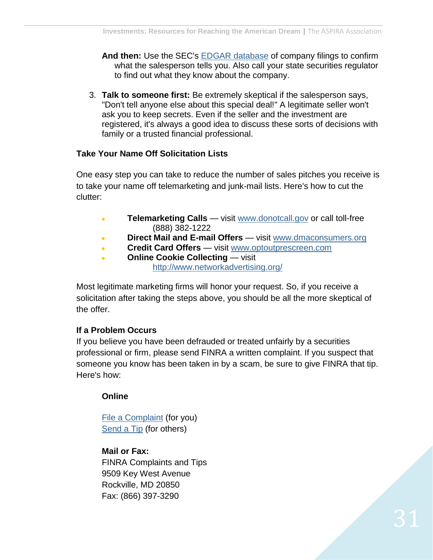- **And then:** Use the SEC's [EDGAR database](javascript:outsideLink() of company filings to confirm what the salesperson tells you. Also call your state securities regulator to find out what they know about the company.
- 3. **Talk to someone first:** Be extremely skeptical if the salesperson says, "Don't tell anyone else about this special deal!" A legitimate seller won't ask you to keep secrets. Even if the seller and the investment are registered, it's always a good idea to discuss these sorts of decisions with family or a trusted financial professional.

#### **Take Your Name Off Solicitation Lists**

One easy step you can take to reduce the number of sales pitches you receive is to take your name off telemarketing and junk-mail lists. Here's how to cut the clutter:

- **Telemarketing Calls** visit [www.donotcall.gov](javascript:outsideLink() or call toll-free (888) 382-1222
- **Direct Mail and E-mail Offers** visit [www.dmaconsumers.org](javascript:outsideLink()
- **Credit Card Offers** visit [www.optoutprescreen.com](javascript:outsideLink()
- **Online Cookie Collecting visit**  $\bullet$ [http://www.networkadvertising.org/](javascript:outsideLink()

Most legitimate marketing firms will honor your request. So, if you receive a solicitation after taking the steps above, you should be all the more skeptical of the offer.

#### **If a Problem Occurs**

If you believe you have been defrauded or treated unfairly by a securities professional or firm, please send FINRA a written complaint. If you suspect that someone you know has been taken in by a scam, be sure to give FINRA that tip. Here's how:

#### **Online**

[File a Complaint](https://apps.nasd.com/Investor_Information/Complaints/complaintCenter.asp) (for you) [Send a Tip](http://www.nasd.com/fileatip) (for others)

#### **Mail or Fax:**

FINRA Complaints and Tips 9509 Key West Avenue Rockville, MD 20850 Fax: (866) 397-3290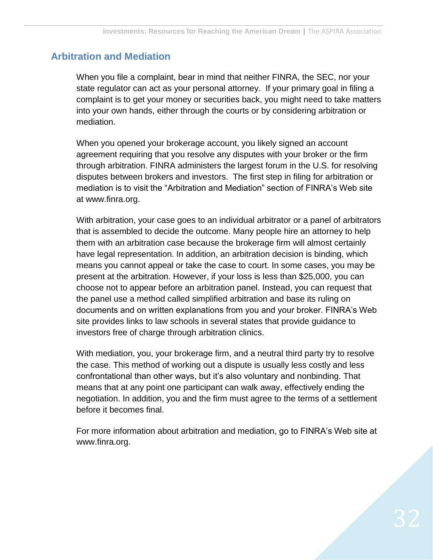### <span id="page-31-0"></span>**Arbitration and Mediation**

When you file a complaint, bear in mind that neither FINRA, the SEC, nor your state regulator can act as your personal attorney. If your primary goal in filing a complaint is to get your money or securities back, you might need to take matters into your own hands, either through the courts or by considering arbitration or mediation.

When you opened your brokerage account, you likely signed an account agreement requiring that you resolve any disputes with your broker or the firm through arbitration. FINRA administers the largest forum in the U.S. for resolving disputes between brokers and investors. The first step in filing for arbitration or mediation is to visit the "Arbitration and Mediation" section of FINRA's Web site at www.finra.org.

With arbitration, your case goes to an individual arbitrator or a panel of arbitrators that is assembled to decide the outcome. Many people hire an attorney to help them with an arbitration case because the brokerage firm will almost certainly have legal representation. In addition, an arbitration decision is binding, which means you cannot appeal or take the case to court. In some cases, you may be present at the arbitration. However, if your loss is less than \$25,000, you can choose not to appear before an arbitration panel. Instead, you can request that the panel use a method called simplified arbitration and base its ruling on documents and on written explanations from you and your broker. FINRA's Web site provides links to law schools in several states that provide guidance to investors free of charge through arbitration clinics.

With mediation, you, your brokerage firm, and a neutral third party try to resolve the case. This method of working out a dispute is usually less costly and less confrontational than other ways, but it's also voluntary and nonbinding. That means that at any point one participant can walk away, effectively ending the negotiation. In addition, you and the firm must agree to the terms of a settlement before it becomes final.

For more information about arbitration and mediation, go to FINRA's Web site at www.finra.org.